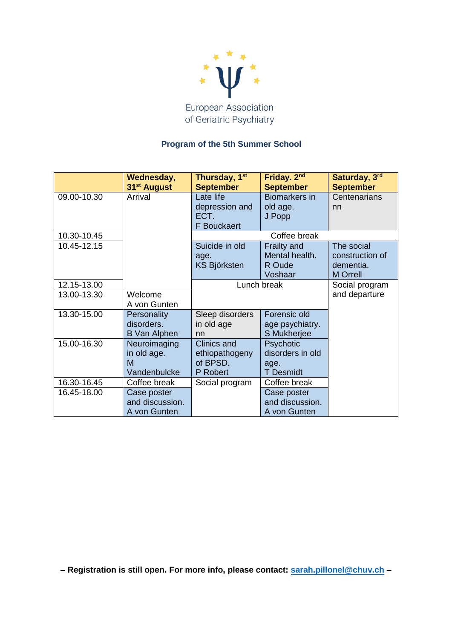

## **Program of the 5th Summer School**

|             | Wednesday,<br>31 <sup>st</sup> August            | Thursday, 1 <sup>st</sup><br><b>September</b>                | Friday. 2 <sup>nd</sup><br><b>September</b>               | Saturday, 3rd<br><b>September</b>                             |
|-------------|--------------------------------------------------|--------------------------------------------------------------|-----------------------------------------------------------|---------------------------------------------------------------|
| 09.00-10.30 | Arrival                                          | Late life<br>depression and<br>ECT.<br><b>F</b> Bouckaert    | <b>Biomarkers in</b><br>old age.<br>J Popp                | Centenarians<br>nn                                            |
| 10.30-10.45 |                                                  | Coffee break                                                 |                                                           |                                                               |
| 10.45-12.15 |                                                  | Suicide in old<br>age.<br><b>KS Björksten</b>                | <b>Frailty and</b><br>Mental health.<br>R Oude<br>Voshaar | The social<br>construction of<br>dementia.<br><b>M</b> Orrell |
| 12.15-13.00 |                                                  | Lunch break                                                  |                                                           | Social program                                                |
| 13.00-13.30 | Welcome<br>A von Gunten                          |                                                              |                                                           | and departure                                                 |
| 13.30-15.00 | Personality<br>disorders.<br><b>B</b> Van Alphen | Sleep disorders<br>in old age<br>nn                          | Forensic old<br>age psychiatry.<br><b>S</b> Mukherjee     |                                                               |
| 15.00-16.30 | Neuroimaging<br>in old age.<br>М<br>Vandenbulcke | <b>Clinics and</b><br>ethiopathogeny<br>of BPSD.<br>P Robert | Psychotic<br>disorders in old<br>age.<br><b>T</b> Desmidt |                                                               |
| 16.30-16.45 | Coffee break                                     | Social program                                               | Coffee break                                              |                                                               |
| 16.45-18.00 | Case poster<br>and discussion.<br>A von Gunten   |                                                              | Case poster<br>and discussion.<br>A von Gunten            |                                                               |

**– Registration is still open. For more info, please contact: [sarah.pillonel@chuv.ch](mailto:sarah.pillonel@chuv.ch) –**